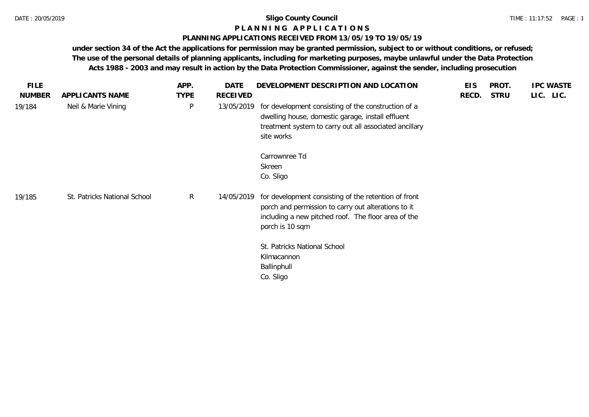# **P L A N N I N G A P P L I C A T I O N S**

#### **PLANNING APPLICATIONS RECEIVED FROM 13/05/19 TO 19/05/19**

| <b>FILE</b>   |                              | APP.         | DATE            | DEVELOPMENT DESCRIPTION AND LOCATION                                                                                                                                                                                                                             | <b>EIS</b> | PROT.       | <b>IPC WASTE</b> |
|---------------|------------------------------|--------------|-----------------|------------------------------------------------------------------------------------------------------------------------------------------------------------------------------------------------------------------------------------------------------------------|------------|-------------|------------------|
| <b>NUMBER</b> | APPLICANTS NAME              | <b>TYPE</b>  | <b>RECEIVED</b> |                                                                                                                                                                                                                                                                  | RECD.      | <b>STRU</b> | LIC. LIC.        |
| 19/184        | Neil & Marie Vining          | $\sf P$      | 13/05/2019      | for development consisting of the construction of a<br>dwelling house, domestic garage, install effluent<br>treatment system to carry out all associated ancillary<br>site works                                                                                 |            |             |                  |
|               |                              |              |                 | Carrownree Td<br>Skreen<br>Co. Sligo                                                                                                                                                                                                                             |            |             |                  |
| 19/185        | St. Patricks National School | $\mathsf{R}$ | 14/05/2019      | for development consisting of the retention of front<br>porch and permission to carry out alterations to it<br>including a new pitched roof. The floor area of the<br>porch is 10 sqm<br>St. Patricks National School<br>Kilmacannon<br>Ballinphull<br>Co. Sligo |            |             |                  |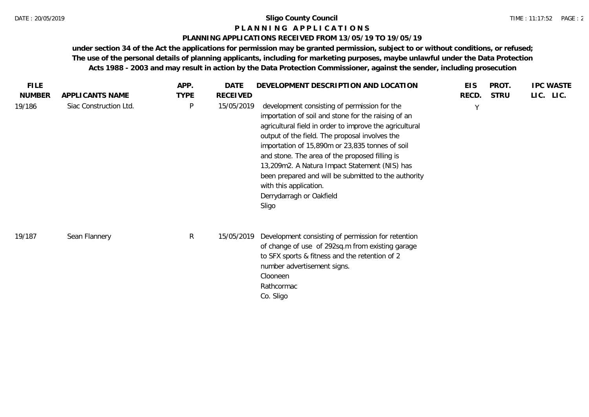#### **P L A N N I N G A P P L I C A T I O N S**

## **PLANNING APPLICATIONS RECEIVED FROM 13/05/19 TO 19/05/19**

| <b>FILE</b>   |                        | APP.         | <b>DATE</b>     | DEVELOPMENT DESCRIPTION AND LOCATION                                                                                                                                                                                                                                                                                                                                                                                                                                                          | <b>EIS</b> | PROT.       | <b>IPC WASTE</b> |
|---------------|------------------------|--------------|-----------------|-----------------------------------------------------------------------------------------------------------------------------------------------------------------------------------------------------------------------------------------------------------------------------------------------------------------------------------------------------------------------------------------------------------------------------------------------------------------------------------------------|------------|-------------|------------------|
| <b>NUMBER</b> | APPLICANTS NAME        | <b>TYPE</b>  | <b>RECEIVED</b> |                                                                                                                                                                                                                                                                                                                                                                                                                                                                                               | RECD.      | <b>STRU</b> | LIC. LIC.        |
| 19/186        | Siac Construction Ltd. | P            | 15/05/2019      | development consisting of permission for the<br>importation of soil and stone for the raising of an<br>agricultural field in order to improve the agricultural<br>output of the field. The proposal involves the<br>importation of 15,890m or 23,835 tonnes of soil<br>and stone. The area of the proposed filling is<br>13,209m2. A Natura Impact Statement (NIS) has<br>been prepared and will be submitted to the authority<br>with this application.<br>Derrydarragh or Oakfield<br>Sligo | Y          |             |                  |
| 19/187        | Sean Flannery          | $\mathsf{R}$ | 15/05/2019      | Development consisting of permission for retention<br>of change of use of 292sq.m from existing garage<br>to SFX sports & fitness and the retention of 2<br>number advertisement signs.<br>Clooneen<br>Rathcormac<br>Co. Sligo                                                                                                                                                                                                                                                                |            |             |                  |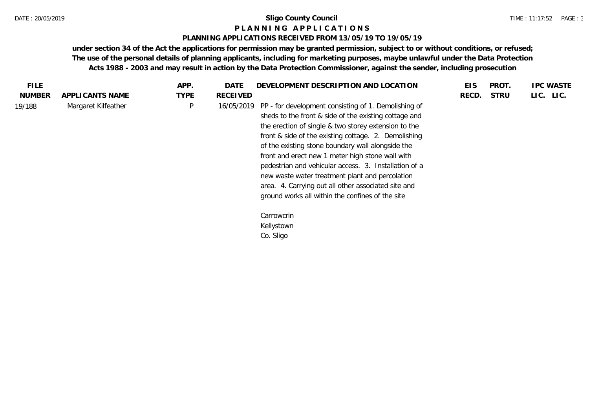#### **P L A N N I N G A P P L I C A T I O N S**

## **PLANNING APPLICATIONS RECEIVED FROM 13/05/19 TO 19/05/19**

| FILE.         |                     | APP.        | DATE       | DEVELOPMENT DESCRIPTION AND LOCATION                                                                                                                                                                                                                                                                                                                                                                                                                                                                                                                          | <b>EIS</b> | PROT.       | <b>IPC WASTE</b> |
|---------------|---------------------|-------------|------------|---------------------------------------------------------------------------------------------------------------------------------------------------------------------------------------------------------------------------------------------------------------------------------------------------------------------------------------------------------------------------------------------------------------------------------------------------------------------------------------------------------------------------------------------------------------|------------|-------------|------------------|
| <b>NUMBER</b> | APPLICANTS NAME     | <b>TYPE</b> | RECEIVED   |                                                                                                                                                                                                                                                                                                                                                                                                                                                                                                                                                               | RECD.      | <b>STRU</b> | LIC. LIC.        |
| 19/188        | Margaret Kilfeather | P           | 16/05/2019 | PP - for development consisting of 1. Demolishing of<br>sheds to the front & side of the existing cottage and<br>the erection of single & two storey extension to the<br>front & side of the existing cottage. 2. Demolishing<br>of the existing stone boundary wall alongside the<br>front and erect new 1 meter high stone wall with<br>pedestrian and vehicular access. 3. Installation of a<br>new waste water treatment plant and percolation<br>area. 4. Carrying out all other associated site and<br>ground works all within the confines of the site |            |             |                  |
|               |                     |             |            | Carrowcrin<br>Kellystown<br>Co. Sligo                                                                                                                                                                                                                                                                                                                                                                                                                                                                                                                         |            |             |                  |
|               |                     |             |            |                                                                                                                                                                                                                                                                                                                                                                                                                                                                                                                                                               |            |             |                  |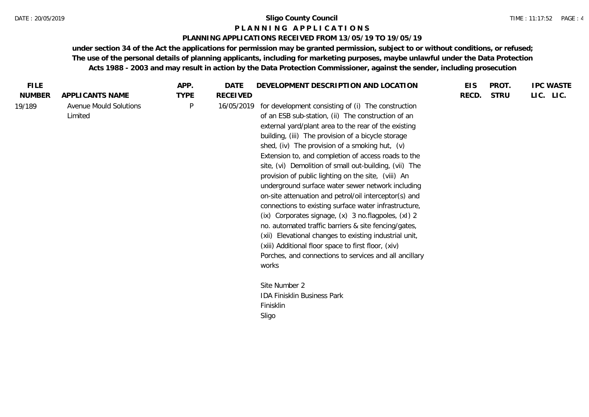#### **P L A N N I N G A P P L I C A T I O N S**

#### **PLANNING APPLICATIONS RECEIVED FROM 13/05/19 TO 19/05/19**

| <b>FILE</b>   |                                   | APP.        | <b>DATE</b>     | DEVELOPMENT DESCRIPTION AND LOCATION                                                                                                                                                                                                                                                                                                                                                                                                                                                                                                                                                                                                                                                                                                                                                                                                                                                                                         | <b>EIS</b> | PROT.       | <b>IPC WASTE</b> |
|---------------|-----------------------------------|-------------|-----------------|------------------------------------------------------------------------------------------------------------------------------------------------------------------------------------------------------------------------------------------------------------------------------------------------------------------------------------------------------------------------------------------------------------------------------------------------------------------------------------------------------------------------------------------------------------------------------------------------------------------------------------------------------------------------------------------------------------------------------------------------------------------------------------------------------------------------------------------------------------------------------------------------------------------------------|------------|-------------|------------------|
| <b>NUMBER</b> | APPLICANTS NAME                   | <b>TYPE</b> | <b>RECEIVED</b> |                                                                                                                                                                                                                                                                                                                                                                                                                                                                                                                                                                                                                                                                                                                                                                                                                                                                                                                              | RECD.      | <b>STRU</b> | LIC. LIC.        |
| 19/189        | Avenue Mould Solutions<br>Limited | P           | 16/05/2019      | for development consisting of (i) The construction<br>of an ESB sub-station, (ii) The construction of an<br>external yard/plant area to the rear of the existing<br>building, (iii) The provision of a bicycle storage<br>shed, (iv) The provision of a smoking hut, $(v)$<br>Extension to, and completion of access roads to the<br>site, (vi) Demolition of small out-building, (vii) The<br>provision of public lighting on the site, (viii) An<br>underground surface water sewer network including<br>on-site attenuation and petrol/oil interceptor(s) and<br>connections to existing surface water infrastructure,<br>(ix) Corporates signage, (x) 3 no.flagpoles, (xl) 2<br>no. automated traffic barriers & site fencing/gates,<br>(xii) Elevational changes to existing industrial unit,<br>(xiii) Additional floor space to first floor, (xiv)<br>Porches, and connections to services and all ancillary<br>works |            |             |                  |
|               |                                   |             |                 | Site Number 2<br><b>IDA Finisklin Business Park</b>                                                                                                                                                                                                                                                                                                                                                                                                                                                                                                                                                                                                                                                                                                                                                                                                                                                                          |            |             |                  |
|               |                                   |             |                 | Finisklin<br>Sligo                                                                                                                                                                                                                                                                                                                                                                                                                                                                                                                                                                                                                                                                                                                                                                                                                                                                                                           |            |             |                  |
|               |                                   |             |                 |                                                                                                                                                                                                                                                                                                                                                                                                                                                                                                                                                                                                                                                                                                                                                                                                                                                                                                                              |            |             |                  |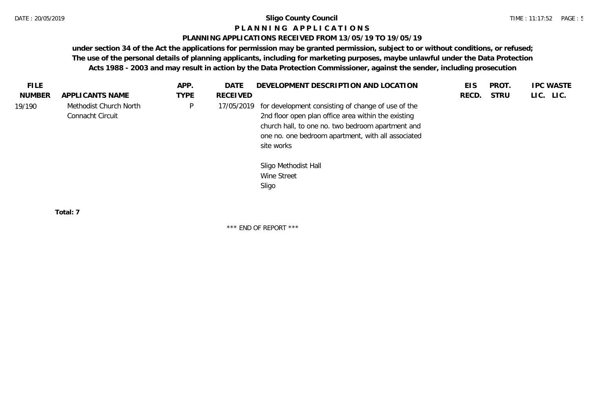#### **P L A N N I N G A P P L I C A T I O N S**

#### **PLANNING APPLICATIONS RECEIVED FROM 13/05/19 TO 19/05/19**

**under section 34 of the Act the applications for permission may be granted permission, subject to or without conditions, or refused; The use of the personal details of planning applicants, including for marketing purposes, maybe unlawful under the Data Protection Acts 1988 - 2003 and may result in action by the Data Protection Commissioner, against the sender, including prosecution**

| <b>FILE</b>   |                                            | APP.        | DATE       | DEVELOPMENT DESCRIPTION AND LOCATION                                                                                                                                                                                               | EIS   | PROT.       | <b>IPC WASTE</b> |
|---------------|--------------------------------------------|-------------|------------|------------------------------------------------------------------------------------------------------------------------------------------------------------------------------------------------------------------------------------|-------|-------------|------------------|
| <b>NUMBER</b> | APPLICANTS NAME                            | <b>TYPE</b> | RECEIVED   |                                                                                                                                                                                                                                    | RECD. | <b>STRU</b> | LIC. LIC.        |
| 19/190        | Methodist Church North<br>Connacht Circuit | P           | 17/05/2019 | for development consisting of change of use of the<br>2nd floor open plan office area within the existing<br>church hall, to one no. two bedroom apartment and<br>one no. one bedroom apartment, with all associated<br>site works |       |             |                  |
|               |                                            |             |            | Sligo Methodist Hall<br>Wine Street<br>Sligo                                                                                                                                                                                       |       |             |                  |

**Total: 7**

\*\*\* END OF REPORT \*\*\*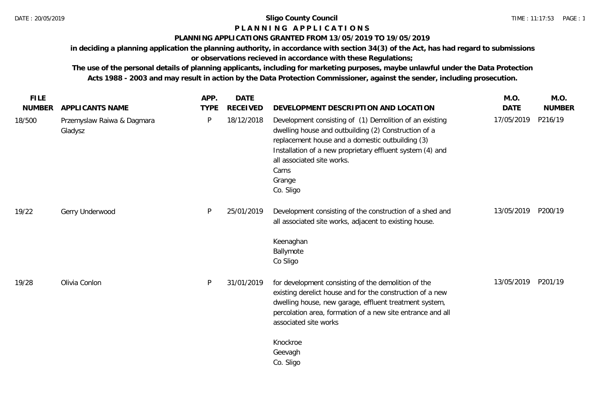# **P L A N N I N G A P P L I C A T I O N S**

#### **PLANNING APPLICATIONS GRANTED FROM 13/05/2019 TO 19/05/2019**

**in deciding a planning application the planning authority, in accordance with section 34(3) of the Act, has had regard to submissions or observations recieved in accordance with these Regulations;**

**The use of the personal details of planning applicants, including for marketing purposes, maybe unlawful under the Data Protection Acts 1988 - 2003 and may result in action by the Data Protection Commissioner, against the sender, including prosecution.**

| <b>FILE</b>             |                                                          | APP.             | <b>DATE</b>                   |                                                                                                                                                                                                                                                                                                                                        | M.O.                      | M.O.                     |
|-------------------------|----------------------------------------------------------|------------------|-------------------------------|----------------------------------------------------------------------------------------------------------------------------------------------------------------------------------------------------------------------------------------------------------------------------------------------------------------------------------------|---------------------------|--------------------------|
| <b>NUMBER</b><br>18/500 | APPLICANTS NAME<br>Przemyslaw Raiwa & Dagmara<br>Gladysz | <b>TYPE</b><br>P | <b>RECEIVED</b><br>18/12/2018 | DEVELOPMENT DESCRIPTION AND LOCATION<br>Development consisting of (1) Demolition of an existing<br>dwelling house and outbuilding (2) Construction of a<br>replacement house and a domestic outbuilding (3)<br>Installation of a new proprietary effluent system (4) and<br>all associated site works.<br>Carns<br>Grange<br>Co. Sligo | <b>DATE</b><br>17/05/2019 | <b>NUMBER</b><br>P216/19 |
| 19/22                   | Gerry Underwood                                          | $\mathsf{P}$     | 25/01/2019                    | Development consisting of the construction of a shed and<br>all associated site works, adjacent to existing house.<br>Keenaghan<br>Ballymote<br>Co Sligo                                                                                                                                                                               | 13/05/2019                | P200/19                  |
| 19/28                   | Olivia Conlon                                            | P                | 31/01/2019                    | for development consisting of the demolition of the<br>existing derelict house and for the construction of a new<br>dwelling house, new garage, effluent treatment system,<br>percolation area, formation of a new site entrance and all<br>associated site works                                                                      | 13/05/2019                | P201/19                  |
|                         |                                                          |                  |                               | Knockroe<br>Geevagh<br>Co. Sligo                                                                                                                                                                                                                                                                                                       |                           |                          |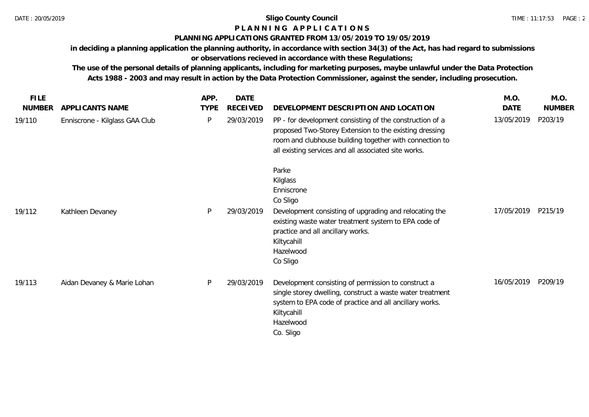## **P L A N N I N G A P P L I C A T I O N S**

# **PLANNING APPLICATIONS GRANTED FROM 13/05/2019 TO 19/05/2019**

**in deciding a planning application the planning authority, in accordance with section 34(3) of the Act, has had regard to submissions** 

**or observations recieved in accordance with these Regulations;**

**The use of the personal details of planning applicants, including for marketing purposes, maybe unlawful under the Data Protection Acts 1988 - 2003 and may result in action by the Data Protection Commissioner, against the sender, including prosecution.**

| <b>FILE</b>   |                                | APP.        | DATE            |                                                                                                                                                                                                                                       | M.O.       | M.O.          |
|---------------|--------------------------------|-------------|-----------------|---------------------------------------------------------------------------------------------------------------------------------------------------------------------------------------------------------------------------------------|------------|---------------|
| <b>NUMBER</b> | APPLICANTS NAME                | <b>TYPE</b> | <b>RECEIVED</b> | DEVELOPMENT DESCRIPTION AND LOCATION                                                                                                                                                                                                  | DATE       | <b>NUMBER</b> |
| 19/110        | Enniscrone - Kilglass GAA Club | P           | 29/03/2019      | PP - for development consisting of the construction of a<br>proposed Two-Storey Extension to the existing dressing<br>room and clubhouse building together with connection to<br>all existing services and all associated site works. | 13/05/2019 | P203/19       |
|               |                                |             |                 | Parke<br>Kilglass<br>Enniscrone<br>Co Sligo                                                                                                                                                                                           |            |               |
| 19/112        | Kathleen Devaney               | P           | 29/03/2019      | Development consisting of upgrading and relocating the<br>existing waste water treatment system to EPA code of<br>practice and all ancillary works.<br>Kiltycahill<br>Hazelwood<br>Co Sligo                                           | 17/05/2019 | P215/19       |
| 19/113        | Aidan Devaney & Marie Lohan    | P           | 29/03/2019      | Development consisting of permission to construct a<br>single storey dwelling, construct a waste water treatment<br>system to EPA code of practice and all ancillary works.<br>Kiltycahill<br>Hazelwood<br>Co. Sligo                  | 16/05/2019 | P209/19       |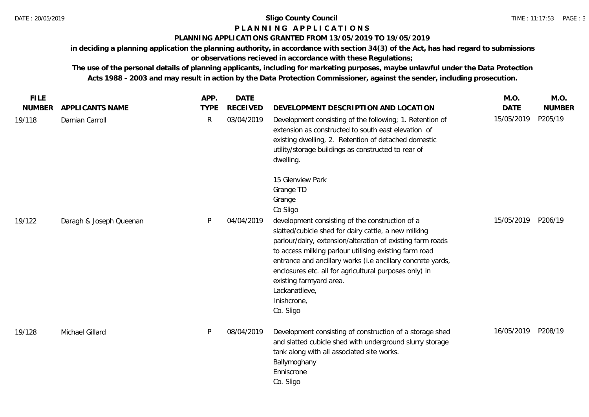# **P L A N N I N G A P P L I C A T I O N S**

## **PLANNING APPLICATIONS GRANTED FROM 13/05/2019 TO 19/05/2019**

**in deciding a planning application the planning authority, in accordance with section 34(3) of the Act, has had regard to submissions** 

# **or observations recieved in accordance with these Regulations;**

**The use of the personal details of planning applicants, including for marketing purposes, maybe unlawful under the Data Protection Acts 1988 - 2003 and may result in action by the Data Protection Commissioner, against the sender, including prosecution.**

| <b>FILE</b>   |                         | APP.        | <b>DATE</b>     |                                                                                                                                                                                                                                                                                                                                                                                                                                   | M.O.        | M.O.          |
|---------------|-------------------------|-------------|-----------------|-----------------------------------------------------------------------------------------------------------------------------------------------------------------------------------------------------------------------------------------------------------------------------------------------------------------------------------------------------------------------------------------------------------------------------------|-------------|---------------|
| <b>NUMBER</b> | <b>APPLICANTS NAME</b>  | <b>TYPE</b> | <b>RECEIVED</b> | DEVELOPMENT DESCRIPTION AND LOCATION                                                                                                                                                                                                                                                                                                                                                                                              | <b>DATE</b> | <b>NUMBER</b> |
| 19/118        | Damian Carroll          | R           | 03/04/2019      | Development consisting of the following; 1. Retention of<br>extension as constructed to south east elevation of<br>existing dwelling, 2. Retention of detached domestic<br>utility/storage buildings as constructed to rear of<br>dwelling.                                                                                                                                                                                       | 15/05/2019  | P205/19       |
|               |                         |             |                 | 15 Glenview Park<br>Grange TD<br>Grange<br>Co Sligo                                                                                                                                                                                                                                                                                                                                                                               |             |               |
| 19/122        | Daragh & Joseph Queenan | P           | 04/04/2019      | development consisting of the construction of a<br>slatted/cubicle shed for dairy cattle, a new milking<br>parlour/dairy, extension/alteration of existing farm roads<br>to access milking parlour utilising existing farm road<br>entrance and ancillary works (i.e ancillary concrete yards,<br>enclosures etc. all for agricultural purposes only) in<br>existing farmyard area.<br>Lackanatlieve,<br>Inishcrone,<br>Co. Sligo | 15/05/2019  | P206/19       |
| 19/128        | Michael Gillard         | P           | 08/04/2019      | Development consisting of construction of a storage shed<br>and slatted cubicle shed with underground slurry storage<br>tank along with all associated site works.<br>Ballymoghany<br>Enniscrone<br>Co. Sligo                                                                                                                                                                                                                     | 16/05/2019  | P208/19       |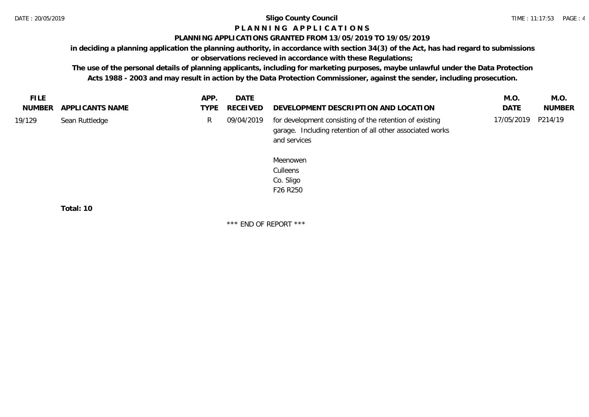# **P L A N N I N G A P P L I C A T I O N S**

### **PLANNING APPLICATIONS GRANTED FROM 13/05/2019 TO 19/05/2019**

**in deciding a planning application the planning authority, in accordance with section 34(3) of the Act, has had regard to submissions** 

# **or observations recieved in accordance with these Regulations;**

**The use of the personal details of planning applicants, including for marketing purposes, maybe unlawful under the Data Protection Acts 1988 - 2003 and may result in action by the Data Protection Commissioner, against the sender, including prosecution.**

| FILE   |                        | APP. | <b>DATE</b>   |                                                                                                                                      | M.O.               | M.O.          |
|--------|------------------------|------|---------------|--------------------------------------------------------------------------------------------------------------------------------------|--------------------|---------------|
|        | NUMBER APPLICANTS NAME |      | TYPE RECEIVED | DEVELOPMENT DESCRIPTION AND LOCATION                                                                                                 | <b>DATE</b>        | <b>NUMBER</b> |
| 19/129 | Sean Ruttledge         |      | 09/04/2019    | for development consisting of the retention of existing<br>garage. Including retention of all other associated works<br>and services | 17/05/2019 P214/19 |               |

Meenowen **Culleens** Co. Sligo F26 R250

**Total: 10**

\*\*\* END OF REPORT \*\*\*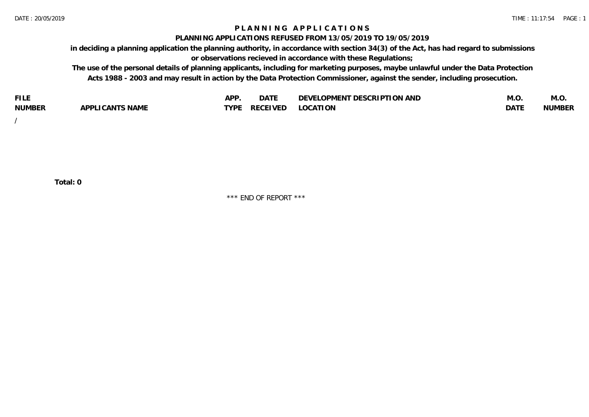# **P L A N N I N G A P P L I C A T I O N S**

#### **PLANNING APPLICATIONS REFUSED FROM 13/05/2019 TO 19/05/2019**

**in deciding a planning application the planning authority, in accordance with section 34(3) of the Act, has had regard to submissions or observations recieved in accordance with these Regulations;**

**The use of the personal details of planning applicants, including for marketing purposes, maybe unlawful under the Data Protection Acts 1988 - 2003 and may result in action by the Data Protection Commissioner, against the sender, including prosecution.**

| <b>FILE</b>   |                                                     | A DE        | $\sim$ $\sim$ $\sim$<br>DA I | <b>ENT DESCRIPTION AND</b><br>$\cap$ nn.<br>)E\/F<br>. JIEN L<br>பட | IVI.U       | IVI.U         |
|---------------|-----------------------------------------------------|-------------|------------------------------|---------------------------------------------------------------------|-------------|---------------|
| <b>NUMBER</b> | <b>ANTS NAME</b><br>A DDI<br>$\sqrt{2}$<br>CAN<br>u | <b>TVDL</b> | ◡⊢                           | <b>OCATION</b>                                                      | <b>DATF</b> | <b>NUMBER</b> |

/

**Total: 0**

\*\*\* END OF REPORT \*\*\*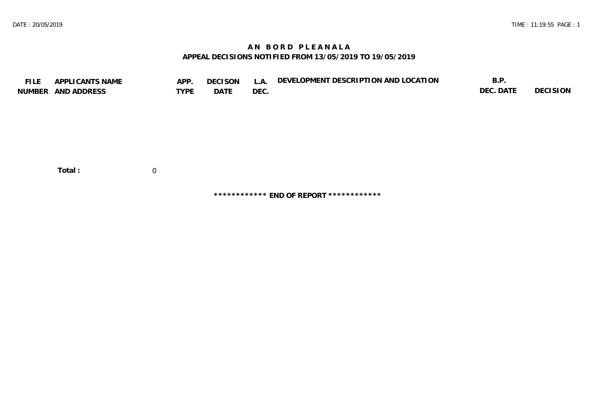# **A N B O R D P L E A N A L A APPEAL DECISIONS NOTIFIED FROM 13/05/2019 TO 19/05/2019**

| <b>FILE</b> | APPLICANTS NAME<br>NUMBER AND ADDRESS | APP.<br><b>TYPE</b> | <b>DECISON</b><br>DATE | L.A.<br>DEC. | DEVELOPMENT DESCRIPTION AND LOCATION | B.P.<br>DEC. DATE | <b>DECISION</b> |
|-------------|---------------------------------------|---------------------|------------------------|--------------|--------------------------------------|-------------------|-----------------|
|             | Total:                                | 0                   |                        |              |                                      |                   |                 |

**\*\*\*\*\*\*\*\*\*\*\*\* END OF REPORT \*\*\*\*\*\*\*\*\*\*\*\***